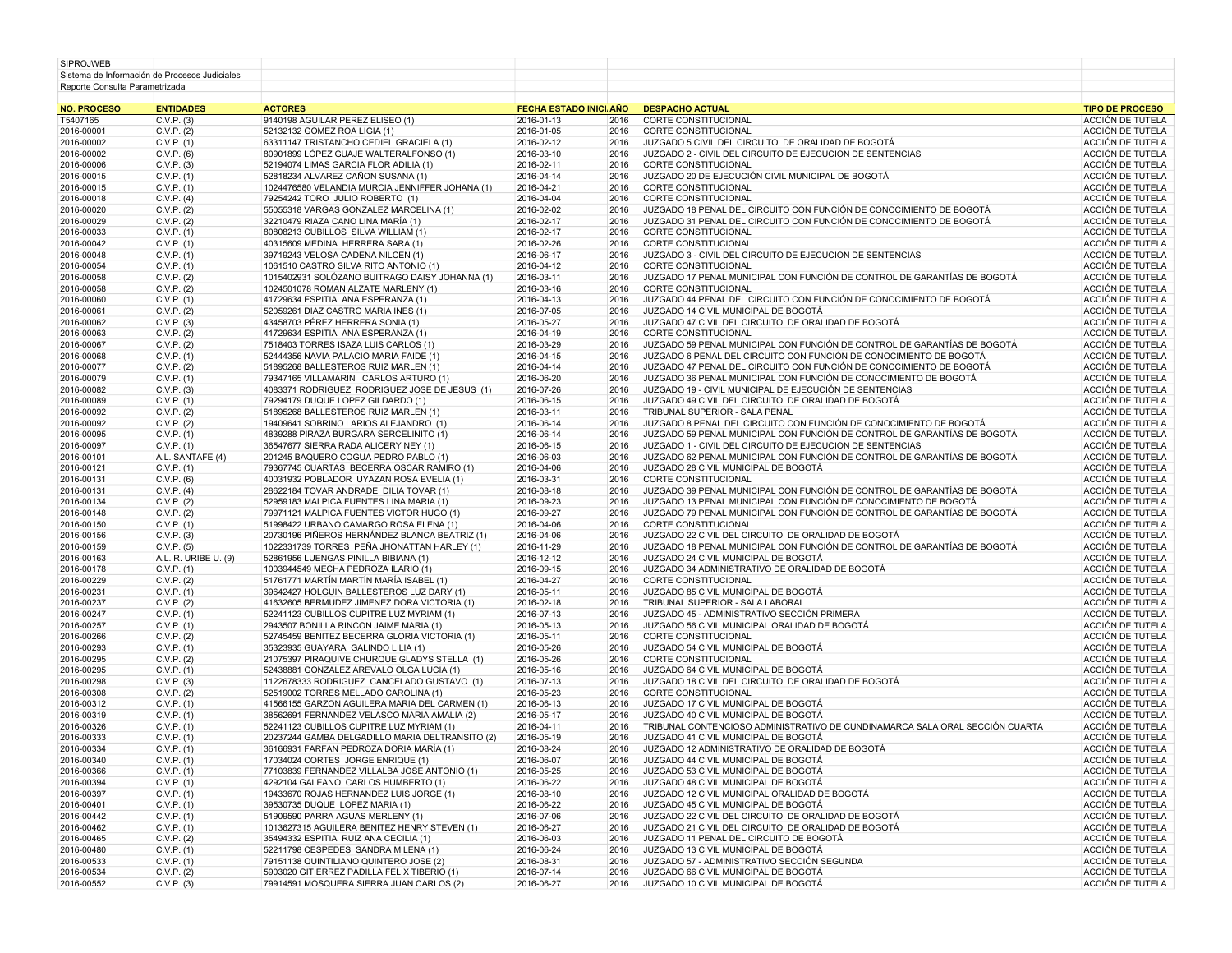| NO BROCESO                                    | <b>ENTIDADES</b> | <b>ACTORED</b> | <b>EECUA ECTADO INICI AÑO - DECDACHO ACTUAL</b> |  | <b>TIDO DE DROCERO</b> |
|-----------------------------------------------|------------------|----------------|-------------------------------------------------|--|------------------------|
|                                               |                  |                |                                                 |  |                        |
| Reporte Consulta Parametrizada                |                  |                |                                                 |  |                        |
| Sistema de Información de Procesos Judiciales |                  |                |                                                 |  |                        |
| <b>SIPROJWEB</b>                              |                  |                |                                                 |  |                        |
|                                               |                  |                |                                                 |  |                        |

| <b>NO. PROCESO</b> | <b>ENTIDADES</b>     | <b>ACTORES</b>                                  | FECHA ESTADO INICI. AÑO |      | <b>DESPACHO ACTUAL</b>                                                       | <b>TIPO DE PROCESO</b> |
|--------------------|----------------------|-------------------------------------------------|-------------------------|------|------------------------------------------------------------------------------|------------------------|
| T5407165           | C.V.P. (3)           | 9140198 AGUILAR PEREZ ELISEO (1)                | 2016-01-13              | 2016 | CORTE CONSTITUCIONAL                                                         | ACCIÓN DE TUTELA       |
| 2016-00001         | C.V.P. (2)           | 52132132 GOMEZ ROA LIGIA (1)                    | 2016-01-05              | 2016 | CORTE CONSTITUCIONAL                                                         | ACCIÓN DE TUTELA       |
| 2016-00002         | C.V.P. (1)           | 63311147 TRISTANCHO CEDIEL GRACIELA (1)         | 2016-02-12              | 2016 | JUZGADO 5 CIVIL DEL CIRCUITO DE ORALIDAD DE BOGOTÁ                           | ACCIÓN DE TUTELA       |
| 2016-00002         | C.V.P. (6)           | 80901899 LÓPEZ GUAJE WALTERALFONSO (1)          | 2016-03-10              | 2016 | JUZGADO 2 - CIVIL DEL CIRCUITO DE EJECUCION DE SENTENCIAS                    | ACCIÓN DE TUTELA       |
| 2016-00006         | C.V.P. (3)           | 52194074 LIMAS GARCIA FLOR ADILIA (1)           | 2016-02-11              | 2016 | CORTE CONSTITUCIONAL                                                         | ACCIÓN DE TUTELA       |
| 2016-00015         |                      |                                                 |                         | 2016 | JUZGADO 20 DE EJECUCIÓN CIVIL MUNICIPAL DE BOGOTÁ                            | ACCIÓN DE TUTELA       |
|                    | C.V.P. (1)           | 52818234 ALVAREZ CAÑON SUSANA (1)               | 2016-04-14              |      |                                                                              |                        |
| 2016-00015         | C.V.P. (1)           | 1024476580 VELANDIA MURCIA JENNIFFER JOHANA (1) | 2016-04-21              | 2016 | CORTE CONSTITUCIONAL                                                         | ACCIÓN DE TUTELA       |
| 2016-00018         | C.V.P. (4)           | 79254242 TORO JULIO ROBERTO (1)                 | 2016-04-04              | 2016 | CORTE CONSTITUCIONAL                                                         | ACCIÓN DE TUTELA       |
| 2016-00020         | C.V.P. (2)           | 55055318 VARGAS GONZALEZ MARCELINA (1)          | 2016-02-02              | 2016 | JUZGADO 18 PENAL DEL CIRCUITO CON FUNCIÓN DE CONOCIMIENTO DE BOGOTÁ          | ACCIÓN DE TUTELA       |
| 2016-00029         | C.V.P. (2)           | 32210479 RIAZA CANO LINA MARÍA (1)              | 2016-02-17              | 2016 | JUZGADO 31 PENAL DEL CIRCUITO CON FUNCIÓN DE CONOCIMIENTO DE BOGOTÁ          | ACCIÓN DE TUTELA       |
| 2016-00033         | C.V.P. (1)           | 80808213 CUBILLOS SILVA WILLIAM (1)             | 2016-02-17              | 2016 | CORTE CONSTITUCIONAL                                                         | ACCIÓN DE TUTELA       |
| 2016-00042         | C.V.P. (1)           | 40315609 MEDINA HERRERA SARA (1)                | 2016-02-26              | 2016 | CORTE CONSTITUCIONAL                                                         | ACCIÓN DE TUTELA       |
| 2016-00048         | C.V.P. (1)           | 39719243 VELOSA CADENA NILCEN (1)               | 2016-06-17              | 2016 | JUZGADO 3 - CIVIL DEL CIRCUITO DE EJECUCION DE SENTENCIAS                    | ACCIÓN DE TUTELA       |
| 2016-00054         | C.V.P. (1)           | 1061510 CASTRO SILVA RITO ANTONIO (1)           | 2016-04-12              | 2016 | CORTE CONSTITUCIONAL                                                         | ACCIÓN DE TUTELA       |
|                    |                      |                                                 |                         |      |                                                                              |                        |
| 2016-00058         | C.V.P. (2)           | 1015402931 SOLÓZANO BUITRAGO DAISY JOHANNA (1)  | 2016-03-11              | 2016 | JUZGADO 17 PENAL MUNICIPAL CON FUNCIÓN DE CONTROL DE GARANTÍAS DE BOGOTÁ     | ACCIÓN DE TUTELA       |
| 2016-00058         | C.V.P. (2)           | 1024501078 ROMAN ALZATE MARLENY (1)             | 2016-03-16              | 2016 | CORTE CONSTITUCIONAL                                                         | ACCIÓN DE TUTELA       |
| 2016-00060         | C.V.P. (1)           | 41729634 ESPITIA ANA ESPERANZA (1)              | 2016-04-13              | 2016 | JUZGADO 44 PENAL DEL CIRCUITO CON FUNCIÓN DE CONOCIMIENTO DE BOGOTÁ          | ACCIÓN DE TUTELA       |
| 2016-00061         | C.V.P. (2)           | 52059261 DIAZ CASTRO MARIA INES (1)             | 2016-07-05              | 2016 | JUZGADO 14 CIVIL MUNICIPAL DE BOGOTÁ                                         | ACCIÓN DE TUTELA       |
| 2016-00062         | C.V.P. (3)           | 43458703 PÉREZ HERRERA SONIA (1)                | 2016-05-27              | 2016 | JUZGADO 47 CIVIL DEL CIRCUITO DE ORALIDAD DE BOGOTÁ                          | ACCIÓN DE TUTELA       |
| 2016-00063         | C.V.P. (2)           | 41729634 ESPITIA ANA ESPERANZA (1)              | 2016-04-19              | 2016 | CORTE CONSTITUCIONAL                                                         | ACCIÓN DE TUTELA       |
| 2016-00067         | C.V.P. (2)           | 7518403 TORRES ISAZA LUIS CARLOS (1)            | 2016-03-29              | 2016 | JUZGADO 59 PENAL MUNICIPAL CON FUNCIÓN DE CONTROL DE GARANTÍAS DE BOGOTÁ     | ACCIÓN DE TUTELA       |
|                    |                      |                                                 |                         | 2016 | JUZGADO 6 PENAL DEL CIRCUITO CON FUNCIÓN DE CONOCIMIENTO DE BOGOTÁ           | ACCIÓN DE TUTELA       |
| 2016-00068         | C.V.P. (1)           | 52444356 NAVIA PALACIO MARIA FAIDE (1)          | 2016-04-15              |      |                                                                              |                        |
| 2016-00077         | C.V.P. (2)           | 51895268 BALLESTEROS RUIZ MARLEN (1)            | 2016-04-14              | 2016 | JUZGADO 47 PENAL DEL CIRCUITO CON FUNCIÓN DE CONOCIMIENTO DE BOGOTÁ          | ACCIÓN DE TUTELA       |
| 2016-00079         | C.V.P. (1)           | 79347165 VILLAMARIN CARLOS ARTURO (1)           | 2016-06-20              | 2016 | JUZGADO 36 PENAL MUNICIPAL CON FUNCIÓN DE CONOCIMIENTO DE BOGOTÁ             | ACCIÓN DE TUTELA       |
| 2016-00082         | C.V.P. (3)           | 4083371 RODRIGUEZ RODRIGUEZ JOSE DE JESUS (1)   | 2016-07-26              | 2016 | JUZGADO 19 - CIVIL MUNICIPAL DE EJECUCIÓN DE SENTENCIAS                      | ACCIÓN DE TUTELA       |
| 2016-00089         | C.V.P. (1)           | 79294179 DUQUE LOPEZ GILDARDO (1)               | 2016-06-15              | 2016 | JUZGADO 49 CIVIL DEL CIRCUITO DE ORALIDAD DE BOGOTÁ                          | ACCIÓN DE TUTELA       |
| 2016-00092         | C.V.P. (2)           | 51895268 BALLESTEROS RUIZ MARLEN (1)            | 2016-03-11              | 2016 | TRIBUNAL SUPERIOR - SALA PENAL                                               | ACCIÓN DE TUTELA       |
| 2016-00092         | C.V.P. (2)           | 19409641 SOBRINO LARIOS ALEJANDRO (1)           | 2016-06-14              | 2016 | JUZGADO 8 PENAL DEL CIRCUITO CON FUNCIÓN DE CONOCIMIENTO DE BOGOTÁ           | ACCIÓN DE TUTELA       |
|                    |                      |                                                 |                         | 2016 |                                                                              |                        |
| 2016-00095         | C.V.P. (1)           | 4839288 PIRAZA BURGARA SERCELINITO (1)          | 2016-06-14              |      | JUZGADO 59 PENAL MUNICIPAL CON FUNCIÓN DE CONTROL DE GARANTÍAS DE BOGOTÁ     | ACCIÓN DE TUTELA       |
| 2016-00097         | C.V.P. (1)           | 36547677 SIERRA RADA ALICERY NEY (1)            | 2016-06-15              | 2016 | JUZGADO 1 - CIVIL DEL CIRCUITO DE EJECUCION DE SENTENCIAS                    | ACCIÓN DE TUTELA       |
| 2016-00101         | A.L. SANTAFE (4)     | 201245 BAQUERO COGUA PEDRO PABLO (1)            | 2016-06-03              | 2016 | JUZGADO 62 PENAL MUNICIPAL CON FUNCIÓN DE CONTROL DE GARANTÍAS DE BOGOTÁ     | ACCIÓN DE TUTELA       |
| 2016-00121         | C.V.P. (1)           | 79367745 CUARTAS BECERRA OSCAR RAMIRO (1)       | 2016-04-06              | 2016 | JUZGADO 28 CIVIL MUNICIPAL DE BOGOTÁ                                         | ACCIÓN DE TUTELA       |
| 2016-00131         | C.V.P. (6)           | 40031932 POBLADOR UYAZAN ROSA EVELIA (1)        | 2016-03-31              | 2016 | <b>CORTE CONSTITUCIONAL</b>                                                  | ACCIÓN DE TUTELA       |
| 2016-00131         | C.V.P. (4)           | 28622184 TOVAR ANDRADE DILIA TOVAR (1)          | 2016-08-18              | 2016 | JUZGADO 39 PENAL MUNICIPAL CON FUNCIÓN DE CONTROL DE GARANTÍAS DE BOGOTÁ     | ACCIÓN DE TUTELA       |
| 2016-00134         | C.V.P. (2)           | 52959183 MALPICA FUENTES LINA MARIA (1)         | 2016-09-23              | 2016 | JUZGADO 13 PENAL MUNICIPAL CON FUNCIÓN DE CONOCIMIENTO DE BOGOTÁ             | ACCIÓN DE TUTELA       |
|                    |                      |                                                 |                         |      | JUZGADO 79 PENAL MUNICIPAL CON FUNCIÓN DE CONTROL DE GARANTÍAS DE BOGOTÁ     |                        |
| 2016-00148         | C.V.P. (2)           | 79971121 MALPICA FUENTES VICTOR HUGO (1)        | 2016-09-27              | 2016 |                                                                              | ACCIÓN DE TUTELA       |
| 2016-00150         | C.V.P. (1)           | 51998422 URBANO CAMARGO ROSA ELENA (1)          | 2016-04-06              | 2016 | CORTE CONSTITUCIONAL                                                         | ACCIÓN DE TUTELA       |
| 2016-00156         | C.V.P. (3)           | 20730196 PIÑEROS HERNÁNDEZ BLANCA BEATRIZ (1)   | 2016-04-06              | 2016 | JUZGADO 22 CIVIL DEL CIRCUITO DE ORALIDAD DE BOGOTÁ                          | ACCIÓN DE TUTELA       |
| 2016-00159         | C.V.P. (5)           | 1022331739 TORRES PEÑA JHONATTAN HARLEY (1)     | 2016-11-29              | 2016 | JUZGADO 18 PENAL MUNICIPAL CON FUNCIÓN DE CONTROL DE GARANTÍAS DE BOGOTÁ     | ACCIÓN DE TUTELA       |
| 2016-00163         | A.L. R. URIBE U. (9) | 52861956 LUENGAS PINILLA BIBIANA (1)            | 2016-12-12              | 2016 | JUZGADO 24 CIVIL MUNICIPAL DE BOGOTÁ                                         | ACCIÓN DE TUTELA       |
| 2016-00178         | C.V.P. (1)           | 1003944549 MECHA PEDROZA ILARIO (1)             | 2016-09-15              | 2016 | JUZGADO 34 ADMINISTRATIVO DE ORALIDAD DE BOGOTÁ                              | ACCIÓN DE TUTELA       |
| 2016-00229         | C.V.P. (2)           | 51761771 MARTÍN MARTÍN MARÍA ISABEL (1)         | 2016-04-27              | 2016 | CORTE CONSTITUCIONAL                                                         | ACCIÓN DE TUTELA       |
|                    |                      |                                                 |                         | 2016 | JUZGADO 85 CIVIL MUNICIPAL DE BOGOTÁ                                         | ACCIÓN DE TUTELA       |
| 2016-00231         | C.V.P. (1)           | 39642427 HOLGUIN BALLESTEROS LUZ DARY (1)       | 2016-05-11              |      |                                                                              |                        |
| 2016-00237         | C.V.P. (2)           | 41632605 BERMUDEZ JIMENEZ DORA VICTORIA (1)     | 2016-02-18              | 2016 | TRIBUNAL SUPERIOR - SALA LABORAL                                             | ACCIÓN DE TUTELA       |
| 2016-00247         | C.V.P. (1)           | 52241123 CUBILLOS CUPITRE LUZ MYRIAM (1)        | 2016-07-13              | 2016 | JUZGADO 45 - ADMINISTRATIVO SECCIÓN PRIMERA                                  | ACCIÓN DE TUTELA       |
| 2016-00257         | C.V.P. (1)           | 2943507 BONILLA RINCON JAIME MARIA (1)          | 2016-05-13              | 2016 | JUZGADO 56 CIVIL MUNICIPAL ORALIDAD DE BOGOTÁ                                | ACCIÓN DE TUTELA       |
| 2016-00266         | C.V.P. (2)           | 52745459 BENITEZ BECERRA GLORIA VICTORIA (1)    | 2016-05-11              | 2016 | CORTE CONSTITUCIONAL                                                         | ACCIÓN DE TUTELA       |
| 2016-00293         | C.V.P. (1)           | 35323935 GUAYARA GALINDO LILIA (1)              | 2016-05-26              | 2016 | JUZGADO 54 CIVIL MUNICIPAL DE BOGOTÁ                                         | ACCIÓN DE TUTELA       |
| 2016-00295         | C.V.P. (2)           | 21075397 PIRAQUIVE CHURQUE GLADYS STELLA (1)    | 2016-05-26              | 2016 | CORTE CONSTITUCIONAL                                                         | ACCIÓN DE TUTELA       |
| 2016-00295         | C.V.P. (1)           | 52438881 GONZALEZ AREVALO OLGA LUCIA (1)        | 2016-05-16              | 2016 | JUZGADO 64 CIVIL MUNICIPAL DE BOGOTÁ                                         | ACCIÓN DE TUTELA       |
|                    |                      |                                                 |                         |      |                                                                              |                        |
| 2016-00298         | C.V.P. (3)           | 1122678333 RODRIGUEZ CANCELADO GUSTAVO (1)      | 2016-07-13              | 2016 | JUZGADO 18 CIVIL DEL CIRCUITO DE ORALIDAD DE BOGOTÁ                          | ACCIÓN DE TUTELA       |
| 2016-00308         | C.V.P. (2)           | 52519002 TORRES MELLADO CAROLINA (1)            | 2016-05-23              | 2016 | CORTE CONSTITUCIONAL                                                         | ACCIÓN DE TUTELA       |
| 2016-00312         | C.V.P. (1)           | 41566155 GARZON AGUILERA MARIA DEL CARMEN (1)   | 2016-06-13              | 2016 | JUZGADO 17 CIVIL MUNICIPAL DE BOGOTÁ                                         | ACCIÓN DE TUTELA       |
| 2016-00319         | C.V.P. (1)           | 38562691 FERNANDEZ VELASCO MARIA AMALIA (2)     | 2016-05-17              | 2016 | JUZGADO 40 CIVIL MUNICIPAL DE BOGOTÁ                                         | ACCIÓN DE TUTELA       |
| 2016-00326         | C.V.P. (1)           | 52241123 CUBILLOS CUPITRE LUZ MYRIAM (1)        | 2016-04-11              | 2016 | TRIBUNAL CONTENCIOSO ADMINISTRATIVO DE CUNDINAMARCA SALA ORAL SECCIÓN CUARTA | ACCIÓN DE TUTELA       |
| 2016-00333         | C.V.P. (1)           | 20237244 GAMBA DELGADILLO MARIA DELTRANSITO (2) | 2016-05-19              | 2016 | JUZGADO 41 CIVIL MUNICIPAL DE BOGOTÁ                                         | ACCIÓN DE TUTELA       |
|                    |                      |                                                 |                         |      | JUZGADO 12 ADMINISTRATIVO DE ORALIDAD DE BOGOTÁ                              | ACCIÓN DE TUTELA       |
| 2016-00334         | C.V.P. (1)           | 36166931 FARFAN PEDROZA DORIA MARÍA (1)         | 2016-08-24              | 2016 |                                                                              |                        |
| 2016-00340         | C.V.P. (1)           | 17034024 CORTES JORGE ENRIQUE (1)               | 2016-06-07              | 2016 | JUZGADO 44 CIVIL MUNICIPAL DE BOGOTÁ                                         | ACCIÓN DE TUTELA       |
| 2016-00366         | C.V.P. (1)           | 77103839 FERNANDEZ VILLALBA JOSE ANTONIO (1)    | 2016-05-25              | 2016 | JUZGADO 53 CIVIL MUNICIPAL DE BOGOTÁ                                         | ACCIÓN DE TUTELA       |
| 2016-00394         | C.V.P. (1)           | 4292104 GALEANO CARLOS HUMBERTO (1)             | 2016-06-22              | 2016 | JUZGADO 48 CIVIL MUNICIPAL DE BOGOTÁ                                         | ACCIÓN DE TUTELA       |
| 2016-00397         | C.V.P. (1)           | 19433670 ROJAS HERNANDEZ LUIS JORGE (1)         | 2016-08-10              | 2016 | JUZGADO 12 CIVIL MUNICIPAL ORALIDAD DE BOGOTÁ                                | ACCIÓN DE TUTELA       |
| 2016-00401         | C.V.P. (1)           | 39530735 DUQUE LOPEZ MARIA (1)                  | 2016-06-22              | 2016 | JUZGADO 45 CIVIL MUNICIPAL DE BOGOTÁ                                         | ACCIÓN DE TUTELA       |
| 2016-00442         | C.V.P. (1)           | 51909590 PARRA AGUAS MERLENY (1)                | 2016-07-06              | 2016 | JUZGADO 22 CIVIL DEL CIRCUITO DE ORALIDAD DE BOGOTÁ                          | ACCIÓN DE TUTELA       |
|                    |                      |                                                 |                         |      |                                                                              |                        |
| 2016-00462         | C.V.P. (1)           | 1013627315 AGUILERA BENITEZ HENRY STEVEN (1)    | 2016-06-27              | 2016 | JUZGADO 21 CIVIL DEL CIRCUITO DE ORALIDAD DE BOGOTÁ                          | ACCIÓN DE TUTELA       |
| 2016-00465         | C.V.P. (2)           | 35494332 ESPITIA RUIZ ANA CECILIA (1)           | 2016-06-03              | 2016 | JUZGADO 11 PENAL DEL CIRCUITO DE BOGOTÁ                                      | ACCIÓN DE TUTELA       |
| 2016-00480         | C.V.P. (1)           | 52211798 CESPEDES SANDRA MILENA (1)             | 2016-06-24              | 2016 | JUZGADO 13 CIVIL MUNICIPAL DE BOGOTÁ                                         | ACCIÓN DE TUTELA       |
| 2016-00533         | C.V.P. (1)           | 79151138 QUINTILIANO QUINTERO JOSE (2)          | 2016-08-31              | 2016 | JUZGADO 57 - ADMINISTRATIVO SECCIÓN SEGUNDA                                  | ACCIÓN DE TUTELA       |
| 2016-00534         | C.V.P. (2)           | 5903020 GITIERREZ PADILLA FELIX TIBERIO (1)     | 2016-07-14              | 2016 | JUZGADO 66 CIVIL MUNICIPAL DE BOGOTÁ                                         | ACCIÓN DE TUTELA       |
| 2016-00552         | C.V.P. (3)           | 79914591 MOSQUERA SIERRA JUAN CARLOS (2)        | 2016-06-27              | 2016 | JUZGADO 10 CIVIL MUNICIPAL DE BOGOTÁ                                         | ACCIÓN DE TUTELA       |
|                    |                      |                                                 |                         |      |                                                                              |                        |